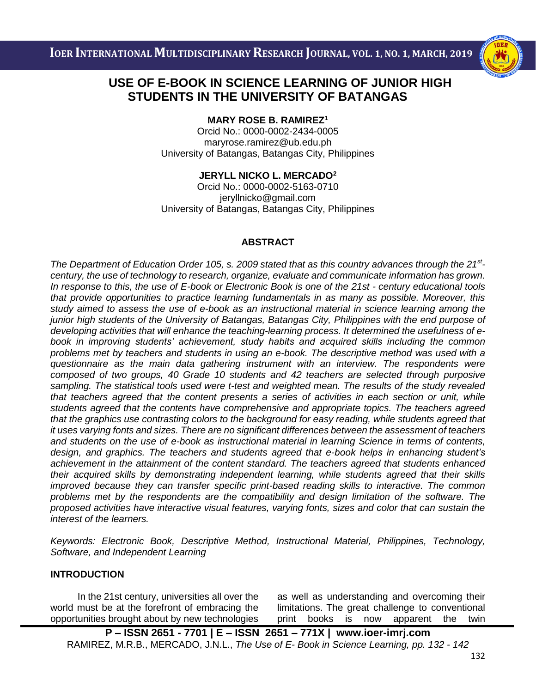

# i<br>I  **STUDENTS IN THE UNIVERSITY OF BATANGAS USE OF E-BOOK IN SCIENCE LEARNING OF JUNIOR HIGH**

**MARY ROSE B. RAMIREZ<sup>1</sup>**

Orcid No.: 0000-0002-2434-0005 [maryrose.ramirez@ub.edu.ph](mailto:momanalo608@yahoo.com/momanalo@pup.edu.ph) University of Batangas, Batangas City, Philippines

# **JERYLL NICKO L. MERCADO<sup>2</sup>**

Orcid No.: 0000-0002-5163-0710 [jeryllnicko@gmail.com](mailto:jeryllnicko@gmail.com) University of Batangas, Batangas City, Philippines

## **ABSTRACT**

*The Department of Education Order 105, s. 2009 stated that as this country advances through the 21st century, the use of technology to research, organize, evaluate and communicate information has grown.*  In response to this, the use of E-book or Electronic Book is one of the 21st - century educational tools *that provide opportunities to practice learning fundamentals in as many as possible. Moreover, this study aimed to assess the use of e-book as an instructional material in science learning among the junior high students of the University of Batangas, Batangas City, Philippines with the end purpose of developing activities that will enhance the teaching-learning process. It determined the usefulness of ebook in improving students' achievement, study habits and acquired skills including the common problems met by teachers and students in using an e-book. The descriptive method was used with a questionnaire as the main data gathering instrument with an interview. The respondents were composed of two groups, 40 Grade 10 students and 42 teachers are selected through purposive sampling. The statistical tools used were t-test and weighted mean. The results of the study revealed that teachers agreed that the content presents a series of activities in each section or unit, while students agreed that the contents have comprehensive and appropriate topics. The teachers agreed that the graphics use contrasting colors to the background for easy reading, while students agreed that it uses varying fonts and sizes. There are no significant differences between the assessment of teachers and students on the use of e-book as instructional material in learning Science in terms of contents, design, and graphics. The teachers and students agreed that e-book helps in enhancing student's achievement in the attainment of the content standard. The teachers agreed that students enhanced their acquired skills by demonstrating independent learning, while students agreed that their skills improved because they can transfer specific print-based reading skills to interactive. The common problems met by the respondents are the compatibility and design limitation of the software. The proposed activities have interactive visual features, varying fonts, sizes and color that can sustain the interest of the learners.* 

*Keywords: Electronic Book, Descriptive Method, Instructional Material, Philippines, Technology, Software, and Independent Learning*

# **INTRODUCTION**

In the 21st century, universities all over the world must be at the forefront of embracing the opportunities brought about by new technologies as well as understanding and overcoming their limitations. The great challenge to conventional print books is now apparent the twin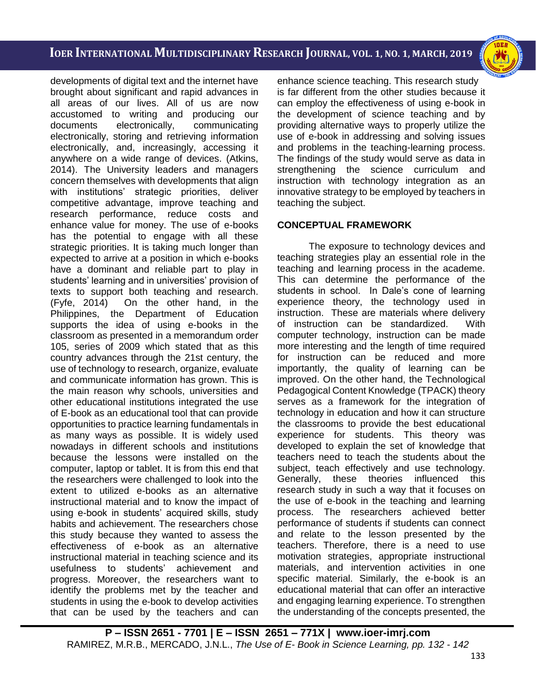i<br>I

developments of digital text and the internet have brought about significant and rapid advances in all areas of our lives. All of us are now accustomed to writing and producing our documents electronically, communicating electronically, storing and retrieving information electronically, and, increasingly, accessing it anywhere on a wide range of devices. (Atkins, 2014). The University leaders and managers concern themselves with developments that align with institutions' strategic priorities, deliver competitive advantage, improve teaching and research performance, reduce costs and enhance value for money. The use of e-books has the potential to engage with all these strategic priorities. It is taking much longer than expected to arrive at a position in which e-books have a dominant and reliable part to play in students' learning and in universities' provision of texts to support both teaching and research. (Fyfe, 2014) On the other hand, in the Philippines, the Department of Education supports the idea of using e-books in the classroom as presented in a memorandum order 105, series of 2009 which stated that as this country advances through the 21st century, the use of technology to research, organize, evaluate and communicate information has grown. This is the main reason why schools, universities and other educational institutions integrated the use of E-book as an educational tool that can provide opportunities to practice learning fundamentals in as many ways as possible. It is widely used nowadays in different schools and institutions because the lessons were installed on the computer, laptop or tablet. It is from this end that the researchers were challenged to look into the extent to utilized e-books as an alternative instructional material and to know the impact of using e-book in students' acquired skills, study habits and achievement. The researchers chose this study because they wanted to assess the effectiveness of e-book as an alternative instructional material in teaching science and its usefulness to students' achievement and progress. Moreover, the researchers want to identify the problems met by the teacher and students in using the e-book to develop activities that can be used by the teachers and can enhance science teaching. This research study is far different from the other studies because it can employ the effectiveness of using e-book in the development of science teaching and by providing alternative ways to properly utilize the use of e-book in addressing and solving issues and problems in the teaching-learning process. The findings of the study would serve as data in strengthening the science curriculum and instruction with technology integration as an innovative strategy to be employed by teachers in teaching the subject.

## **CONCEPTUAL FRAMEWORK**

The exposure to technology devices and teaching strategies play an essential role in the teaching and learning process in the academe. This can determine the performance of the students in school. In Dale's cone of learning experience theory, the technology used in instruction. These are materials where delivery of instruction can be standardized. With computer technology, instruction can be made more interesting and the length of time required for instruction can be reduced and more importantly, the quality of learning can be improved. On the other hand, the Technological Pedagogical Content Knowledge (TPACK) theory serves as a framework for the integration of technology in education and how it can structure the classrooms to provide the best educational experience for students. This theory was developed to explain the set of knowledge that teachers need to teach the students about the subject, teach effectively and use technology. Generally, these theories influenced this research study in such a way that it focuses on the use of e-book in the teaching and learning process. The researchers achieved better performance of students if students can connect and relate to the lesson presented by the teachers. Therefore, there is a need to use motivation strategies, appropriate instructional materials, and intervention activities in one specific material. Similarly, the e-book is an educational material that can offer an interactive and engaging learning experience. To strengthen the understanding of the concepts presented, the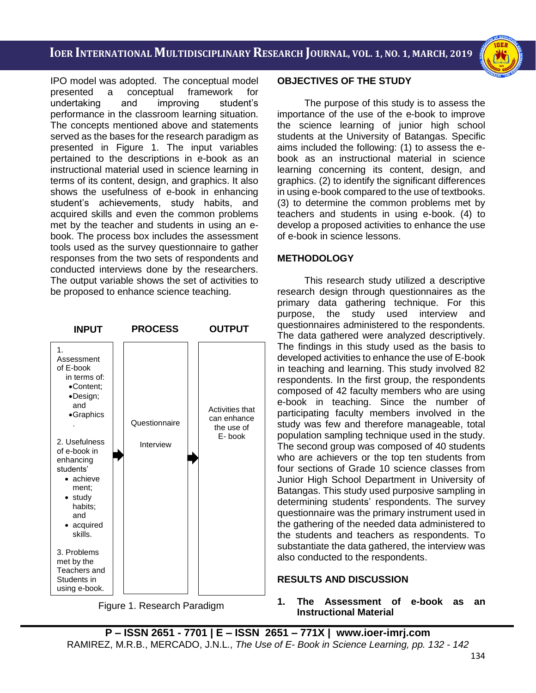i<br>I

IPO model was adopted. The conceptual model presented a conceptual framework for undertaking and improving student's performance in the classroom learning situation. The concepts mentioned above and statements served as the bases for the research paradigm as presented in Figure 1. The input variables pertained to the descriptions in e-book as an instructional material used in science learning in terms of its content, design, and graphics. It also shows the usefulness of e-book in enhancing student's achievements, study habits, and acquired skills and even the common problems met by the teacher and students in using an ebook. The process box includes the assessment tools used as the survey questionnaire to gather responses from the two sets of respondents and conducted interviews done by the researchers. The output variable shows the set of activities to be proposed to enhance science teaching.



#### **OBJECTIVES OF THE STUDY**

The purpose of this study is to assess the importance of the use of the e-book to improve the science learning of junior high school students at the University of Batangas. Specific aims included the following: (1) to assess the ebook as an instructional material in science learning concerning its content, design, and graphics. (2) to identify the significant differences in using e-book compared to the use of textbooks. (3) to determine the common problems met by teachers and students in using e-book. (4) to develop a proposed activities to enhance the use of e-book in science lessons.

#### **METHODOLOGY**

This research study utilized a descriptive research design through questionnaires as the primary data gathering technique. For this purpose, the study used interview and questionnaires administered to the respondents. The data gathered were analyzed descriptively. The findings in this study used as the basis to developed activities to enhance the use of E-book in teaching and learning. This study involved 82 respondents. In the first group, the respondents composed of 42 faculty members who are using e-book in teaching. Since the number of participating faculty members involved in the study was few and therefore manageable, total population sampling technique used in the study. The second group was composed of 40 students who are achievers or the top ten students from four sections of Grade 10 science classes from Junior High School Department in University of Batangas. This study used purposive sampling in determining students' respondents. The survey questionnaire was the primary instrument used in the gathering of the needed data administered to the students and teachers as respondents. To substantiate the data gathered, the interview was also conducted to the respondents.

## **RESULTS AND DISCUSSION**

#### **1. The Assessment of e-book as an Instructional Material**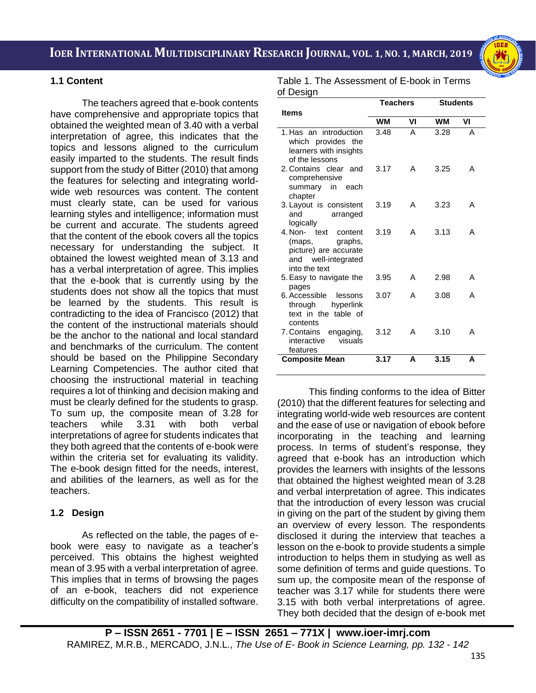i<br>I



## **1.1 Content**

The teachers agreed that e-book contents have comprehensive and appropriate topics that obtained the weighted mean of 3.40 with a verbal interpretation of agree, this indicates that the topics and lessons aligned to the curriculum easily imparted to the students. The result finds support from the study of Bitter (2010) that among the features for selecting and integrating worldwide web resources was content. The content must clearly state, can be used for various learning styles and intelligence; information must be current and accurate. The students agreed that the content of the ebook covers all the topics necessary for understanding the subject. It obtained the lowest weighted mean of 3.13 and has a verbal interpretation of agree. This implies that the e-book that is currently using by the students does not show all the topics that must be learned by the students. This result is contradicting to the idea of Francisco (2012) that the content of the instructional materials should be the anchor to the national and local standard and benchmarks of the curriculum. The content should be based on the Philippine Secondary Learning Competencies. The author cited that choosing the instructional material in teaching requires a lot of thinking and decision making and must be clearly defined for the students to grasp. To sum up, the composite mean of 3.28 for teachers while 3.31 with both verbal interpretations of agree for students indicates that they both agreed that the contents of e-book were within the criteria set for evaluating its validity. The e-book design fitted for the needs, interest, and abilities of the learners, as well as for the teachers.

# **1.2 Design**

As reflected on the table, the pages of ebook were easy to navigate as a teacher's perceived. This obtains the highest weighted mean of 3.95 with a verbal interpretation of agree. This implies that in terms of browsing the pages of an e-book, teachers did not experience difficulty on the compatibility of installed software.

Table 1. The Assessment of E-book in Terms of Design

|                                                                                                            | <b>Teachers</b> |    | <b>Students</b> |    |
|------------------------------------------------------------------------------------------------------------|-----------------|----|-----------------|----|
| <b>Items</b>                                                                                               | WМ              | VI | WМ              | VI |
|                                                                                                            |                 |    |                 |    |
| 1. Has an introduction<br>which provides the<br>learners with insights<br>of the lessons                   | 3.48            | A  | 3.28            | А  |
| 2. Contains clear and<br>comprehensive<br>summary in each<br>chapter                                       | 3.17            | A  | 3.25            | А  |
| 3. Layout is consistent<br>and<br>arranged<br>logically                                                    | 3.19            | А  | 3.23            | А  |
| 4. Non- text<br>content<br>(maps, graphs,<br>picture) are accurate<br>and well-integrated<br>into the text | 3.19            | A  | 3.13            | А  |
| 5. Easy to navigate the<br>pages                                                                           | 3.95            | А  | 2.98            | А  |
| 6. Accessible lessons<br>through<br>hyperlink<br>text in the table of<br>contents                          | 3.07            | А  | 3.08            | А  |
| 7. Contains engaging,<br>interactive<br>visuals<br>features                                                | 3.12            | А  | 3.10            | А  |
| <b>Composite Mean</b>                                                                                      | 3.17            | A  | 3.15            | A  |

This finding conforms to the idea of Bitter (2010) that the different features for selecting and integrating world-wide web resources are content and the ease of use or navigation of ebook before incorporating in the teaching and learning process. In terms of student's response, they agreed that e-book has an introduction which provides the learners with insights of the lessons that obtained the highest weighted mean of 3.28 and verbal interpretation of agree. This indicates that the introduction of every lesson was crucial in giving on the part of the student by giving them an overview of every lesson. The respondents disclosed it during the interview that teaches a lesson on the e-book to provide students a simple introduction to helps them in studying as well as some definition of terms and guide questions. To sum up, the composite mean of the response of teacher was 3.17 while for students there were 3.15 with both verbal interpretations of agree. They both decided that the design of e-book met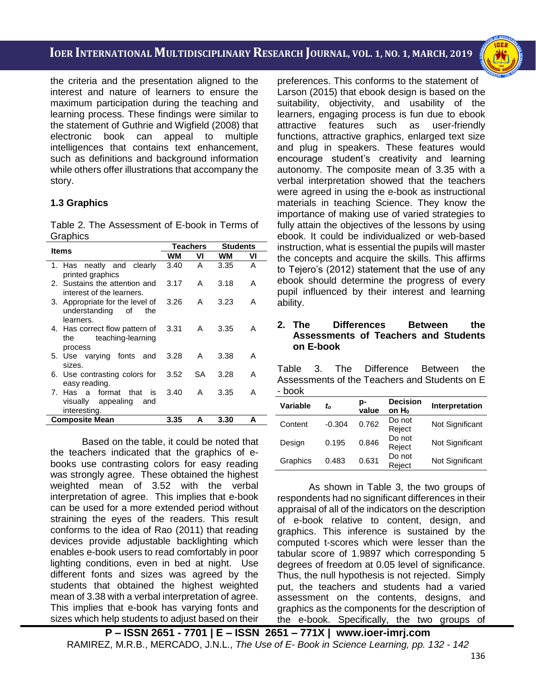i<br>I

the criteria and the presentation aligned to the interest and nature of learners to ensure the maximum participation during the teaching and learning process. These findings were similar to the statement of Guthrie and Wigfield (2008) that electronic book can appeal to multiple intelligences that contains text enhancement, such as definitions and background information while others offer illustrations that accompany the story.

# **1.3 Graphics**

Table 2. The Assessment of E-book in Terms of **Graphics** 

| <b>Items</b>                                                               | <b>Teachers</b> |    | <b>Students</b> |    |
|----------------------------------------------------------------------------|-----------------|----|-----------------|----|
|                                                                            | WМ              | VI | WМ              | VI |
| 1. Has neatly and clearly<br>printed graphics                              | 3.40            | A  | 3.35            | A  |
| 2. Sustains the attention and<br>interest of the learners.                 | 3.17            | A  | 3.18            | A  |
| 3. Appropriate for the level of<br>understanding<br>of<br>the<br>learners. | 3.26            | A  | 3.23            | А  |
| 4. Has correct flow pattern of<br>teaching-learning<br>the<br>process      | 3.31            | A  | 3.35            | A  |
| 5. Use varying fonts and<br>sizes.                                         | 3.28            | A  | 3.38            | A  |
| 6. Use contrasting colors for<br>easy reading.                             | 3.52            | SА | 3.28            | А  |
| 7. Has a format that<br>is i<br>visually appealing<br>and<br>interesting.  | 3.40            | A  | 3.35            | А  |
| <b>Composite Mean</b>                                                      | 3.35            | A  | 3.30            | A  |

Based on the table, it could be noted that the teachers indicated that the graphics of ebooks use contrasting colors for easy reading was strongly agree. These obtained the highest weighted mean of 3.52 with the verbal interpretation of agree. This implies that e-book can be used for a more extended period without straining the eyes of the readers. This result conforms to the idea of Rao (2011) that reading devices provide adjustable backlighting which enables e-book users to read comfortably in poor lighting conditions, even in bed at night. Use different fonts and sizes was agreed by the students that obtained the highest weighted mean of 3.38 with a verbal interpretation of agree. This implies that e-book has varying fonts and sizes which help students to adjust based on their

preferences. This conforms to the statement of Larson (2015) that ebook design is based on the suitability, objectivity, and usability of the learners, engaging process is fun due to ebook attractive features such as user-friendly functions, attractive graphics, enlarged text size and plug in speakers. These features would encourage student's creativity and learning autonomy. The composite mean of 3.35 with a verbal interpretation showed that the teachers were agreed in using the e-book as instructional materials in teaching Science. They know the importance of making use of varied strategies to fully attain the objectives of the lessons by using ebook. It could be individualized or web-based instruction, what is essential the pupils will master the concepts and acquire the skills. This affirms to Tejero's (2012) statement that the use of any ebook should determine the progress of every pupil influenced by their interest and learning ability.

## **2. The Differences Between the Assessments of Teachers and Students on E-book**

Table 3. The Difference Between the Assessments of the Teachers and Students on E - book

| <b>Variable</b> | to       | p-<br>value | <b>Decision</b><br>on H <sub>o</sub> | Interpretation  |
|-----------------|----------|-------------|--------------------------------------|-----------------|
| Content         | $-0.304$ | 0.762       | Do not<br>Reject                     | Not Significant |
| Design          | 0.195    | 0.846       | Do not<br>Reject                     | Not Significant |
| Graphics        | 0.483    | 0.631       | Do not<br>Reject                     | Not Significant |

As shown in Table 3, the two groups of respondents had no significant differences in their appraisal of all of the indicators on the description of e-book relative to content, design, and graphics. This inference is sustained by the computed t-scores which were lesser than the tabular score of 1.9897 which corresponding 5 degrees of freedom at 0.05 level of significance. Thus, the null hypothesis is not rejected. Simply put, the teachers and students had a varied assessment on the contents, designs, and graphics as the components for the description of the e-book. Specifically, the two groups of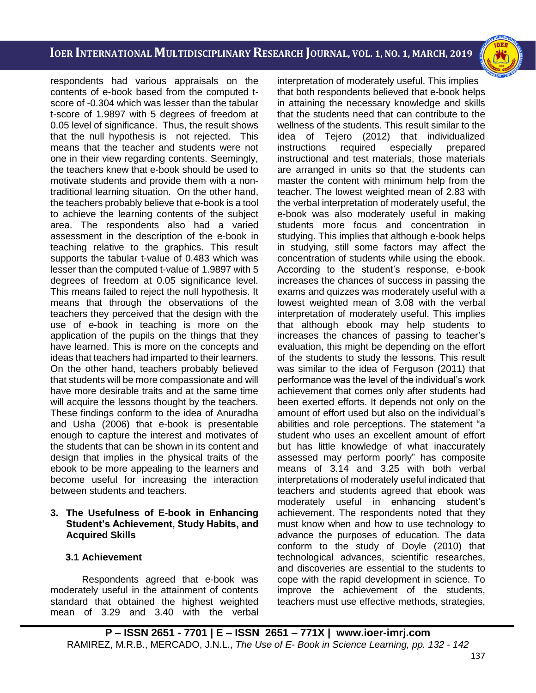i<br>I

respondents had various appraisals on the contents of e-book based from the computed tscore of -0.304 which was lesser than the tabular t-score of 1.9897 with 5 degrees of freedom at 0.05 level of significance. Thus, the result shows that the null hypothesis is not rejected. This means that the teacher and students were not one in their view regarding contents. Seemingly, the teachers knew that e-book should be used to motivate students and provide them with a nontraditional learning situation. On the other hand, the teachers probably believe that e-book is a tool to achieve the learning contents of the subject area. The respondents also had a varied assessment in the description of the e-book in teaching relative to the graphics. This result supports the tabular t-value of 0.483 which was lesser than the computed t-value of 1.9897 with 5 degrees of freedom at 0.05 significance level. This means failed to reject the null hypothesis. It means that through the observations of the teachers they perceived that the design with the use of e-book in teaching is more on the application of the pupils on the things that they have learned. This is more on the concepts and ideas that teachers had imparted to their learners. On the other hand, teachers probably believed that students will be more compassionate and will have more desirable traits and at the same time will acquire the lessons thought by the teachers. These findings conform to the idea of Anuradha and Usha (2006) that e-book is presentable enough to capture the interest and motivates of the students that can be shown in its content and design that implies in the physical traits of the ebook to be more appealing to the learners and become useful for increasing the interaction between students and teachers.

#### **3. The Usefulness of E-book in Enhancing Student's Achievement, Study Habits, and Acquired Skills**

## **3.1 Achievement**

Respondents agreed that e-book was moderately useful in the attainment of contents standard that obtained the highest weighted mean of 3.29 and 3.40 with the verbal interpretation of moderately useful. This implies that both respondents believed that e-book helps in attaining the necessary knowledge and skills that the students need that can contribute to the wellness of the students. This result similar to the idea of Tejero (2012) that individualized instructions required especially prepared instructional and test materials, those materials are arranged in units so that the students can master the content with minimum help from the teacher. The lowest weighted mean of 2.83 with the verbal interpretation of moderately useful, the e-book was also moderately useful in making students more focus and concentration in studying. This implies that although e-book helps in studying, still some factors may affect the concentration of students while using the ebook. According to the student's response, e-book increases the chances of success in passing the exams and quizzes was moderately useful with a lowest weighted mean of 3.08 with the verbal interpretation of moderately useful. This implies that although ebook may help students to increases the chances of passing to teacher's evaluation, this might be depending on the effort of the students to study the lessons. This result was similar to the idea of Ferguson (2011) that performance was the level of the individual's work achievement that comes only after students had been exerted efforts. It depends not only on the amount of effort used but also on the individual's abilities and role perceptions. The statement "a student who uses an excellent amount of effort but has little knowledge of what inaccurately assessed may perform poorly" has composite means of 3.14 and 3.25 with both verbal interpretations of moderately useful indicated that teachers and students agreed that ebook was moderately useful in enhancing student's achievement. The respondents noted that they must know when and how to use technology to advance the purposes of education. The data conform to the study of Doyle (2010) that technological advances, scientific researches, and discoveries are essential to the students to cope with the rapid development in science. To improve the achievement of the students, teachers must use effective methods, strategies,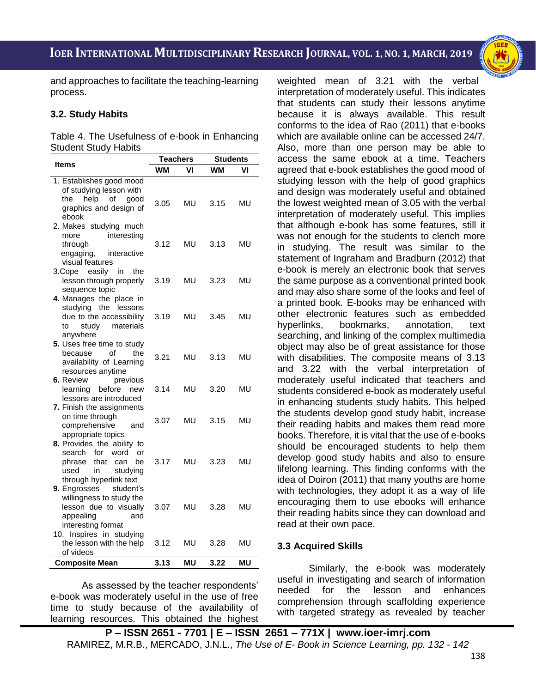i<br>I



and approaches to facilitate the teaching-learning process.

## **3.2. Study Habits**

Table 4. The Usefulness of e-book in Enhancing Student Study Habits

| Items                                                 | Teachers  |           | <b>Students</b> |           |
|-------------------------------------------------------|-----------|-----------|-----------------|-----------|
|                                                       | <b>WM</b> | VI        | <b>WM</b>       | VI        |
| 1. Establishes good mood                              |           |           |                 |           |
| of studying lesson with                               |           |           |                 |           |
| the<br>help<br>of<br>good                             | 3.05      | MU        | 3.15            | <b>MU</b> |
| graphics and design of<br>ebook                       |           |           |                 |           |
| 2. Makes studying much                                |           |           |                 |           |
| interesting<br>more                                   |           |           |                 |           |
| through                                               | 3.12      | MU        | 3.13            | MU        |
| engaging,<br>interactive                              |           |           |                 |           |
| visual features                                       |           |           |                 |           |
| 3.Cope<br>easily<br>in<br>the                         |           |           |                 |           |
| lesson through properly                               | 3.19      | MU        | 3.23            | MU        |
| sequence topic                                        |           |           |                 |           |
| 4. Manages the place in<br>studying the lessons       |           |           |                 |           |
| due to the accessibility                              | 3.19      | MU        | 3.45            | MU        |
| materials<br>study<br>to                              |           |           |                 |           |
| anywhere                                              |           |           |                 |           |
| 5. Uses free time to study                            |           |           |                 |           |
| of<br>the<br>because                                  | 3.21      | MU        | 3.13            | MU        |
| availability of Learning                              |           |           |                 |           |
| resources anytime                                     |           |           |                 |           |
| 6. Review<br>previous                                 |           |           |                 |           |
| learning<br>before<br>new<br>lessons are introduced   | 3.14      | MU        | 3.20            | MU        |
| 7. Finish the assignments                             |           |           |                 |           |
| on time through                                       |           |           |                 |           |
| comprehensive<br>and                                  | 3.07      | MU        | 3.15            | MU        |
| appropriate topics                                    |           |           |                 |           |
| <b>8.</b> Provides the ability to                     |           |           |                 |           |
| search<br>for<br>word<br>or                           |           |           |                 |           |
| that<br>phrase<br>can<br>be                           | 3.17      | MU        | 3.23            | MU        |
| in<br>used<br>studying                                |           |           |                 |           |
| through hyperlink text                                |           |           |                 |           |
| 9. Engrosses<br>student's<br>willingness to study the |           |           |                 |           |
| lesson due to visually                                | 3.07      | MU        | 3.28            | MU        |
| appealing<br>and                                      |           |           |                 |           |
| interesting format                                    |           |           |                 |           |
| 10. Inspires in studying                              |           |           |                 |           |
| the lesson with the help                              | 3.12      | MU        | 3.28            | MU        |
| of videos                                             |           |           |                 |           |
| <b>Composite Mean</b>                                 | 3.13      | <b>MU</b> | 3.22            | <b>MU</b> |

As assessed by the teacher respondents' e-book was moderately useful in the use of free time to study because of the availability of learning resources. This obtained the highest weighted mean of 3.21 with the verbal interpretation of moderately useful. This indicates that students can study their lessons anytime because it is always available. This result conforms to the idea of Rao (2011) that e-books which are available online can be accessed 24/7. Also, more than one person may be able to access the same ebook at a time. Teachers agreed that e-book establishes the good mood of studying lesson with the help of good graphics and design was moderately useful and obtained the lowest weighted mean of 3.05 with the verbal interpretation of moderately useful. This implies that although e-book has some features, still it was not enough for the students to clench more in studying. The result was similar to the statement of Ingraham and Bradburn (2012) that e-book is merely an electronic book that serves the same purpose as a conventional printed book and may also share some of the looks and feel of a printed book. E-books may be enhanced with other electronic features such as embedded hyperlinks, bookmarks, annotation, text searching, and linking of the complex multimedia object may also be of great assistance for those with disabilities. The composite means of 3.13 and 3.22 with the verbal interpretation of moderately useful indicated that teachers and students considered e-book as moderately useful in enhancing students study habits. This helped the students develop good study habit, increase their reading habits and makes them read more books. Therefore, it is vital that the use of e-books should be encouraged students to help them develop good study habits and also to ensure lifelong learning. This finding conforms with the idea of Doiron (2011) that many youths are home with technologies, they adopt it as a way of life encouraging them to use ebooks will enhance their reading habits since they can download and read at their own pace.

## **3.3 Acquired Skills**

Similarly, the e-book was moderately useful in investigating and search of information needed for the lesson and enhances comprehension through scaffolding experience with targeted strategy as revealed by teacher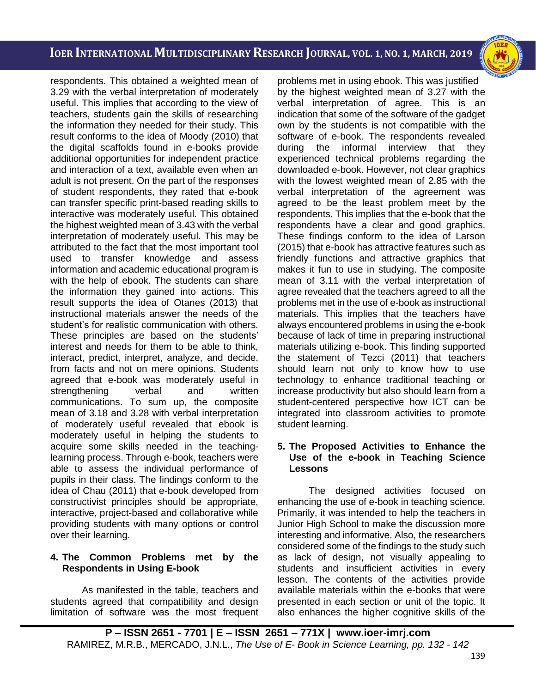i<br>I

respondents. This obtained a weighted mean of 3.29 with the verbal interpretation of moderately useful. This implies that according to the view of teachers, students gain the skills of researching the information they needed for their study. This result conforms to the idea of Moody (2010) that the digital scaffolds found in e-books provide additional opportunities for independent practice and interaction of a text, available even when an adult is not present. On the part of the responses of student respondents, they rated that e-book can transfer specific print-based reading skills to interactive was moderately useful. This obtained the highest weighted mean of 3.43 with the verbal interpretation of moderately useful. This may be attributed to the fact that the most important tool used to transfer knowledge and assess information and academic educational program is with the help of ebook. The students can share the information they gained into actions. This result supports the idea of Otanes (2013) that instructional materials answer the needs of the student's for realistic communication with others. These principles are based on the students' interest and needs for them to be able to think, interact, predict, interpret, analyze, and decide, from facts and not on mere opinions. Students agreed that e-book was moderately useful in strengthening verbal and written communications. To sum up, the composite mean of 3.18 and 3.28 with verbal interpretation of moderately useful revealed that ebook is moderately useful in helping the students to acquire some skills needed in the teachinglearning process. Through e-book, teachers were able to assess the individual performance of pupils in their class. The findings conform to the idea of Chau (2011) that e-book developed from constructivist principles should be appropriate, interactive, project-based and collaborative while providing students with many options or control over their learning.

## **4. The Common Problems met by the Respondents in Using E-book**

As manifested in the table, teachers and students agreed that compatibility and design limitation of software was the most frequent problems met in using ebook. This was justified by the highest weighted mean of 3.27 with the verbal interpretation of agree. This is an indication that some of the software of the gadget own by the students is not compatible with the software of e-book. The respondents revealed during the informal interview that they experienced technical problems regarding the downloaded e-book. However, not clear graphics with the lowest weighted mean of 2.85 with the verbal interpretation of the agreement was agreed to be the least problem meet by the respondents. This implies that the e-book that the respondents have a clear and good graphics. These findings conform to the idea of Larson (2015) that e-book has attractive features such as friendly functions and attractive graphics that makes it fun to use in studying. The composite mean of 3.11 with the verbal interpretation of agree revealed that the teachers agreed to all the problems met in the use of e-book as instructional materials. This implies that the teachers have always encountered problems in using the e-book because of lack of time in preparing instructional materials utilizing e-book. This finding supported the statement of Tezci (2011) that teachers should learn not only to know how to use technology to enhance traditional teaching or increase productivity but also should learn from a student-centered perspective how ICT can be integrated into classroom activities to promote student learning.

## **5. The Proposed Activities to Enhance the Use of the e-book in Teaching Science Lessons**

The designed activities focused on enhancing the use of e-book in teaching science. Primarily, it was intended to help the teachers in Junior High School to make the discussion more interesting and informative. Also, the researchers considered some of the findings to the study such as lack of design, not visually appealing to students and insufficient activities in every lesson. The contents of the activities provide available materials within the e-books that were presented in each section or unit of the topic. It also enhances the higher cognitive skills of the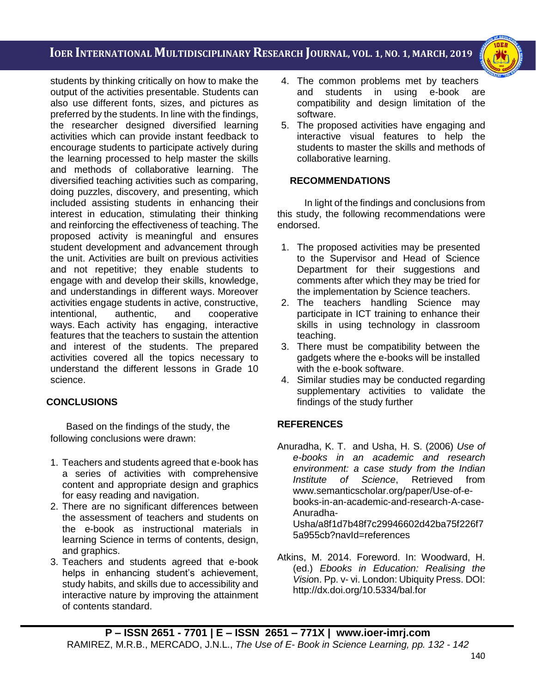i<br>I



students by thinking critically on how to make the output of the activities presentable. Students can also use different fonts, sizes, and pictures as preferred by the students. In line with the findings, the researcher designed diversified learning activities which can provide instant feedback to encourage students to participate actively during the learning processed to help master the skills and methods of collaborative learning. The diversified teaching activities such as comparing, doing puzzles, discovery, and presenting, which included assisting students in enhancing their interest in education, stimulating their thinking and reinforcing the effectiveness of teaching. The proposed activity is meaningful and ensures student development and advancement through the unit. Activities are built on previous activities and not repetitive; they enable students to engage with and develop their skills, knowledge, and understandings in different ways. Moreover activities engage students in active, constructive, intentional, authentic, and cooperative ways. Each activity has engaging, interactive features that the teachers to sustain the attention and interest of the students. The prepared activities covered all the topics necessary to understand the different lessons in Grade 10 science.

# **CONCLUSIONS**

Based on the findings of the study, the following conclusions were drawn:

- 1. Teachers and students agreed that e-book has a series of activities with comprehensive content and appropriate design and graphics for easy reading and navigation.
- 2. There are no significant differences between the assessment of teachers and students on the e-book as instructional materials in learning Science in terms of contents, design, and graphics.
- 3. Teachers and students agreed that e-book helps in enhancing student's achievement, study habits, and skills due to accessibility and interactive nature by improving the attainment of contents standard.
- 4. The common problems met by teachers and students in using e-book are compatibility and design limitation of the software.
- 5. The proposed activities have engaging and interactive visual features to help the students to master the skills and methods of collaborative learning.

## **RECOMMENDATIONS**

In light of the findings and conclusions from this study, the following recommendations were endorsed.

- 1. The proposed activities may be presented to the Supervisor and Head of Science Department for their suggestions and comments after which they may be tried for the implementation by Science teachers.
- 2. The teachers handling Science may participate in ICT training to enhance their skills in using technology in classroom teaching.
- 3. There must be compatibility between the gadgets where the e-books will be installed with the e-book software.
- 4. Similar studies may be conducted regarding supplementary activities to validate the findings of the study further

# **REFERENCES**

- Anuradha, K. T. and Usha, H. S. (2006) *Use of e-books in an academic and research environment: a case study from the Indian Institute of Science*, Retrieved from [www.semanticscholar.org/paper/Use-of-e](http://www.semanticscholar.org/paper/Use-of-e-books-in-an-academic-and-research-A-case-)[books-in-an-academic-and-research-A-case-](http://www.semanticscholar.org/paper/Use-of-e-books-in-an-academic-and-research-A-case-)Anuradha-Usha/a8f1d7b48f7c29946602d42ba75f226f7 5a955cb?navId=references
- Atkins, M. 2014. Foreword. In: Woodward, H. (ed.) *Ebooks in Education: Realising the Visio*n. Pp. v- vi. London: Ubiquity Press. DOI: http://dx.doi.org/10.5334/bal.for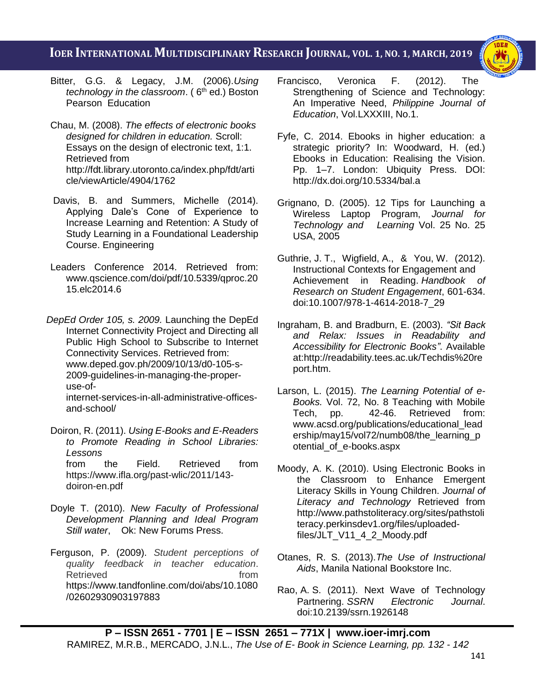i<br>I



- Bitter, G.G. & Legacy, J.M. (2006).*Using technology in the classroom.* (6<sup>th</sup> ed.) Boston Pearson Education
- Chau, M. (2008). *The effects of electronic books designed for children in education.* Scroll: Essays on the design of electronic text, 1:1. Retrieved from [http://fdt.library.utoronto.ca/index.php/fdt/arti](http://fdt.library.utoronto.ca/index.php/fdt/article/viewArticle/4904/1762) [cle/viewArticle/4904/1762](http://fdt.library.utoronto.ca/index.php/fdt/article/viewArticle/4904/1762)
- Davis, B. and Summers, Michelle (2014). Applying Dale's Cone of Experience to Increase Learning and Retention: A Study of Study Learning in a Foundational Leadership Course. Engineering
- Leaders Conference 2014. Retrieved from: www.qscience.com/doi/pdf/10.5339/qproc.20 15.elc2014.6
- *DepEd Order 105, s. 2009.* Launching the DepEd Internet Connectivity Project and Directing all Public High School to Subscribe to Internet Connectivity Services. Retrieved from: www.deped.gov.ph/2009/10/13/d0-105-s-2009-guidelines-in-managing-the-properuse-of-

internet-services-in-all-administrative-officesand-school/

- Doiron, R. (2011). *Using E-Books and E-Readers to Promote Reading in School Libraries: Lessons*  from the Field. Retrieved from [https://www.ifla.org/past-wlic/2011/143](https://www.ifla.org/past-wlic/2011/143-doiron-en.pdf) [doiron-en.pdf](https://www.ifla.org/past-wlic/2011/143-doiron-en.pdf)
- Doyle T. (2010). *New Faculty of Professional Development Planning and Ideal Program Still water*, Ok: New Forums Press.
- Ferguson, P. (2009). *Student perceptions of quality feedback in teacher education*. Retrieved from the from [https://www.tandfonline.com/doi/abs/10.1080](https://www.tandfonline.com/doi/abs/10.1080/02602930903197883) [/02602930903197883](https://www.tandfonline.com/doi/abs/10.1080/02602930903197883)
- Francisco, Veronica F. (2012). The Strengthening of Science and Technology: An Imperative Need, *Philippine Journal of Education*, Vol.LXXXIII, No.1.
- Fyfe, C. 2014. Ebooks in higher education: a strategic priority? In: Woodward, H. (ed.) Ebooks in Education: Realising the Vision. Pp. 1–7. London: Ubiquity Press. DOI: http://dx.doi.org/10.5334/bal.a
- Grignano, D. (2005). 12 Tips for Launching a Wireless Laptop Program, *Journal for Technology and Learning* Vol. 25 No. 25 USA, 2005
- Guthrie, J. T., Wigfield, A., & You, W. (2012). Instructional Contexts for Engagement and Achievement in Reading. *Handbook of Research on Student Engagement*, 601-634. doi:10.1007/978-1-4614-2018-7\_29
- Ingraham, B. and Bradburn, E. (2003). *"Sit Back and Relax: Issues in Readability and Accessibility for Electronic Books"*. Available at:http://readability.tees.ac.uk/Techdis%20re port.htm.
- Larson, L. (2015). *The Learning Potential of e-Books.* Vol. 72, No. 8 Teaching with Mobile Tech, pp. 42-46. Retrieved from: www.acsd.org/publications/educational\_lead ership/may15/vol72/numb08/the\_learning\_p otential\_of\_e-books.aspx
- Moody, A. K. (2010). Using Electronic Books in the Classroom to Enhance Emergent Literacy Skills in Young Children. *Journal of Literacy and Technology* Retrieved from http://www.pathstoliteracy.org/sites/pathstoli teracy.perkinsdev1.org/files/uploadedfiles/JLT\_V11\_4\_2\_Moody.pdf
- Otanes, R. S. (2013).*The Use of Instructional Aids*, Manila National Bookstore Inc.
- Rao, A. S. (2011). Next Wave of Technology Partnering. *SSRN Electronic Journal*. doi:10.2139/ssrn.1926148